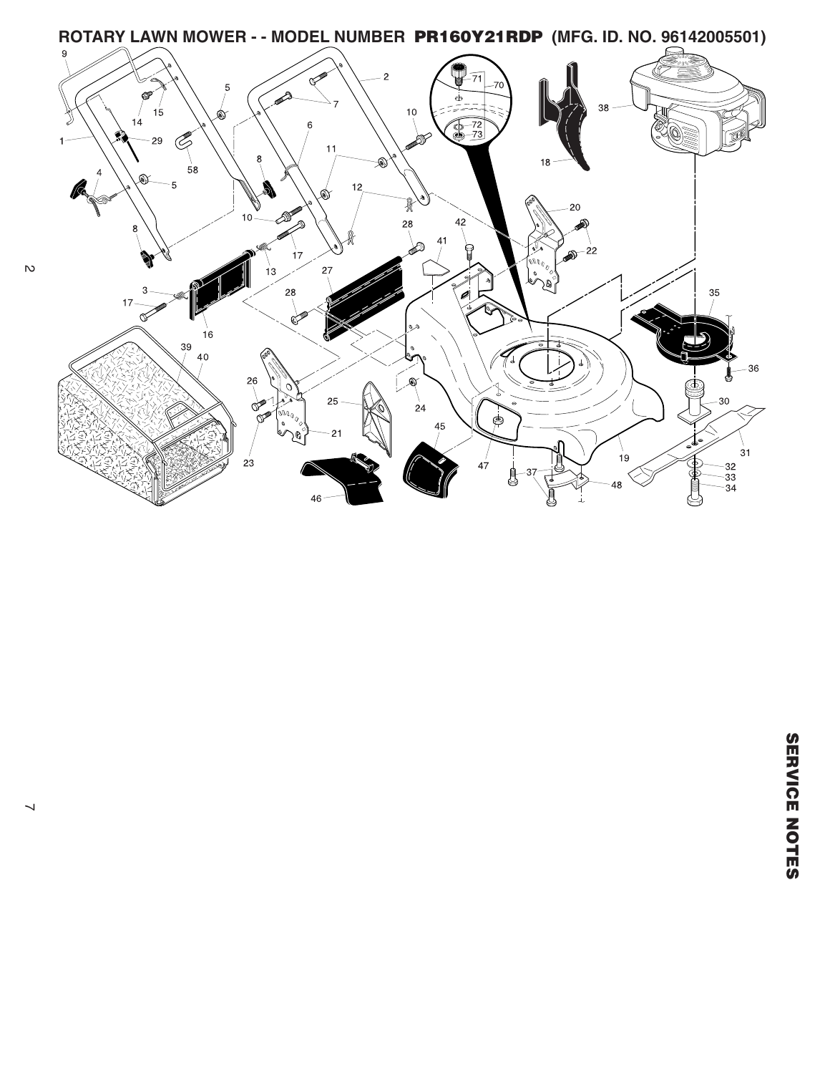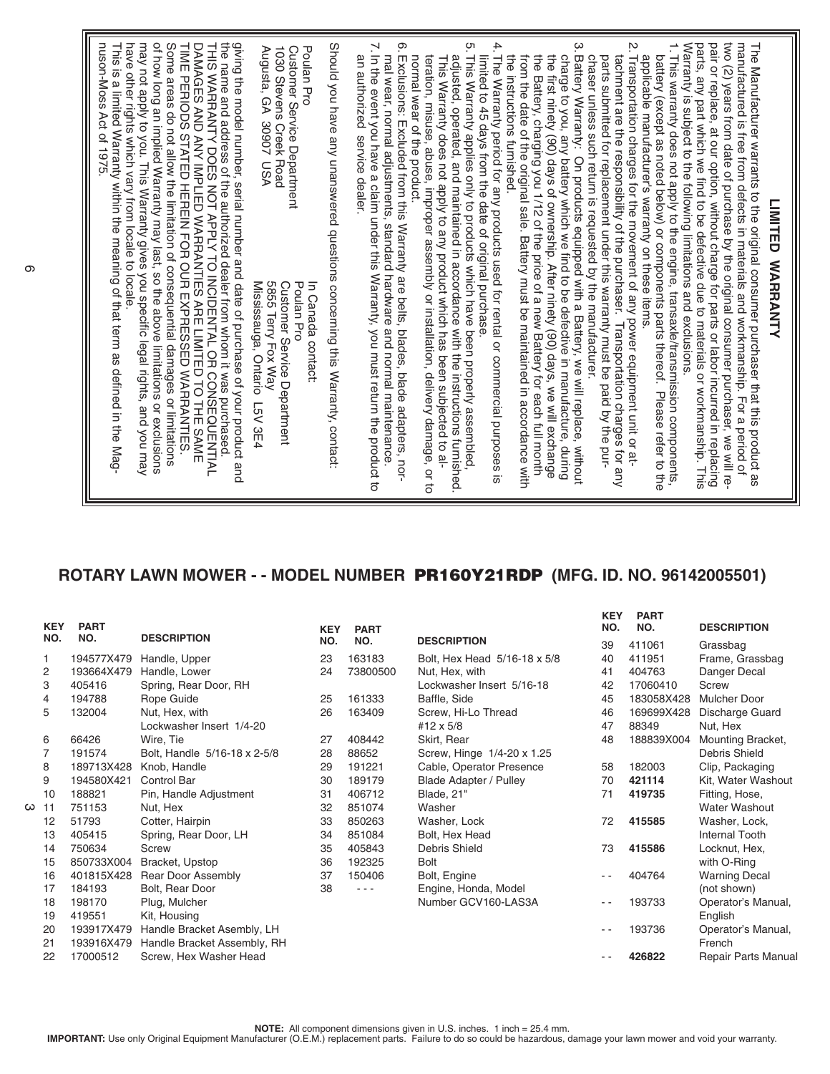## **ROTARY LAWN MOWER - - MODEL NUMBER PR160Y21RDP (MFG. ID. NO. 96142005501)**

| NO. | <b>KEY</b>     | <b>PART</b><br>NO. | <b>DESCRIPTION</b>           | <b>KEY</b><br>NO. | <b>PART</b><br>NO. |                               | <b>KEY</b><br>NO. | <b>PART</b><br>NO. | <b>DESCRIPTION</b>    |
|-----|----------------|--------------------|------------------------------|-------------------|--------------------|-------------------------------|-------------------|--------------------|-----------------------|
|     |                |                    |                              |                   |                    | <b>DESCRIPTION</b>            | 39                | 411061             | Grassbag              |
|     |                | 194577X479         | Handle, Upper                | 23                | 163183             | Bolt, Hex Head 5/16-18 x 5/8  | 40                | 411951             | Frame, Grassbag       |
|     | $\overline{c}$ | 193664X479         | Handle, Lower                | 24                | 73800500           | Nut, Hex, with                | 41                | 404763             | Danger Decal          |
|     | 3              | 405416             | Spring, Rear Door, RH        |                   |                    | Lockwasher Insert 5/16-18     | 42                | 17060410           | Screw                 |
|     | 4              | 194788             | Rope Guide                   | 25                | 161333             | Baffle, Side                  | 45                | 183058X428         | <b>Mulcher Door</b>   |
|     | 5              | 132004             | Nut, Hex, with               | 26                | 163409             | Screw, Hi-Lo Thread           | 46                | 169699X428         | Discharge Guard       |
|     |                |                    | Lockwasher Insert 1/4-20     |                   |                    | #12 $\times$ 5/8              | 47                | 88349              | Nut, Hex              |
|     | 6              | 66426              | Wire, Tie                    | 27                | 408442             | Skirt, Rear                   | 48                | 188839X004         | Mounting Bracket,     |
|     | $\overline{7}$ | 191574             | Bolt, Handle 5/16-18 x 2-5/8 | 28                | 88652              | Screw, Hinge 1/4-20 x 1.25    |                   |                    | Debris Shield         |
|     | 8              | 189713X428         | Knob, Handle                 | 29                | 191221             | Cable, Operator Presence      | 58                | 182003             | Clip, Packaging       |
|     | 9              | 194580X421         | <b>Control Bar</b>           | 30                | 189179             | <b>Blade Adapter / Pulley</b> | 70                | 421114             | Kit, Water Washout    |
|     | 10             | 188821             | Pin, Handle Adjustment       | 31                | 406712             | Blade, 21"                    | 71                | 419735             | Fitting, Hose,        |
| ω   | 11             | 751153             | Nut, Hex                     | 32                | 851074             | Washer                        |                   |                    | <b>Water Washout</b>  |
|     | 12             | 51793              | Cotter, Hairpin              | 33                | 850263             | Washer, Lock                  | 72                | 415585             | Washer, Lock,         |
|     | 13             | 405415             | Spring, Rear Door, LH        | 34                | 851084             | Bolt, Hex Head                |                   |                    | <b>Internal Tooth</b> |
|     | 14             | 750634             | Screw                        | 35                | 405843             | Debris Shield                 | 73                | 415586             | Locknut, Hex,         |
|     | 15             | 850733X004         | Bracket, Upstop              | 36                | 192325             | <b>Bolt</b>                   |                   |                    | with O-Ring           |
|     | 16             | 401815X428         | Rear Door Assembly           | 37                | 150406             | Bolt, Engine                  |                   | 404764             | <b>Warning Decal</b>  |
|     | 17             | 184193             | Bolt, Rear Door              | 38                | - - -              | Engine, Honda, Model          |                   |                    | (not shown)           |
|     | 18             | 198170             | Plug, Mulcher                |                   |                    | Number GCV160-LAS3A           | - -               | 193733             | Operator's Manual,    |
|     | 19             | 419551             | Kit, Housing                 |                   |                    |                               |                   |                    | English               |
|     | 20             | 193917X479         | Handle Bracket Asembly, LH   |                   |                    |                               | - -               | 193736             | Operator's Manual,    |
|     | 21             | 193916X479         | Handle Bracket Assembly, RH  |                   |                    |                               |                   |                    | French                |
|     | 22             | 17000512           | Screw, Hex Washer Head       |                   |                    |                               |                   | 426822             | Repair Parts Manual   |

NOTE: All component dimensions given in U.S. inches. 1 inch = 25.4 mm.<br>IMPORTANT: Use only Original Equipment Manufacturer (O.E.M.) replacement parts. Failure to do so could be hazardous, damage your lawn mower and void yo